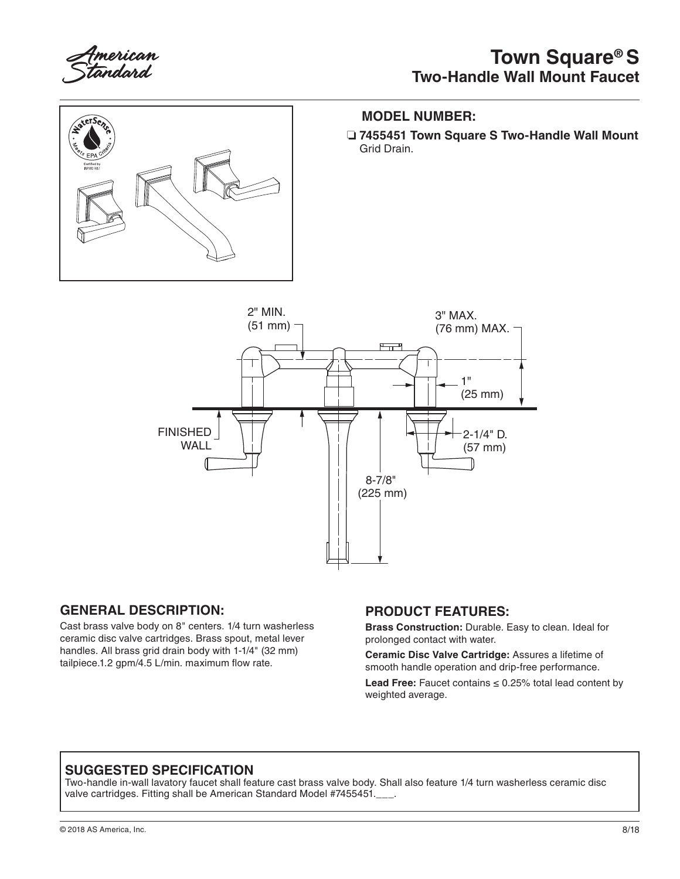

## **Town Square® S Two-Handle Wall Mount Faucet**



#### **MODEL NUMBER:**

❏ **7455451 Town Square S Two-Handle Wall Mount** Grid Drain.



### **GENERAL DESCRIPTION:**

Cast brass valve body on 8" centers. 1/4 turn washerless ceramic disc valve cartridges. Brass spout, metal lever handles. All brass grid drain body with 1-1/4" (32 mm) tailpiece.1.2 gpm/4.5 L/min. maximum flow rate.

#### **PRODUCT FEATURES:**

**Brass Construction:** Durable. Easy to clean. Ideal for prolonged contact with water.

**Ceramic Disc Valve Cartridge:** Assures a lifetime of smooth handle operation and drip-free performance.

**Lead Free:** Faucet contains ≤ 0.25% total lead content by weighted average.

## **SUGGESTED SPECIFICATION**

Two-handle in-wall lavatory faucet shall feature cast brass valve body. Shall also feature 1/4 turn washerless ceramic disc valve cartridges. Fitting shall be American Standard Model #7455451.\_\_\_.